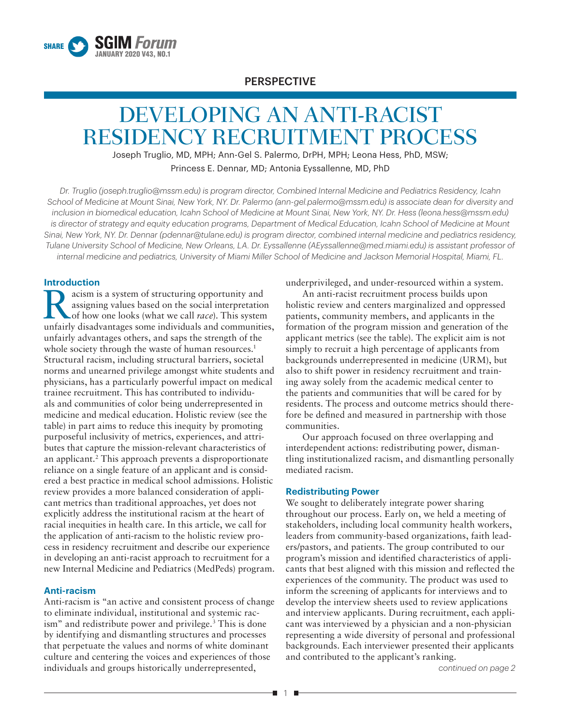

## PERSPECTIVE

# DEVELOPING AN ANTI-RACIST RESIDENCY RECRUITMENT PROCESS

Joseph Truglio, MD, MPH; Ann-Gel S. Palermo, DrPH, MPH; Leona Hess, PhD, MSW; Princess E. Dennar, MD; Antonia Eyssallenne, MD, PhD

*Dr. Truglio (joseph.truglio@mssm.edu) is program director, Combined Internal Medicine and Pediatrics Residency, Icahn School of Medicine at Mount Sinai, New York, NY. Dr. Palermo (ann-gel.palermo@mssm.edu) is associate dean for diversity and inclusion in biomedical education, Icahn School of Medicine at Mount Sinai, New York, NY. Dr. Hess (leona.hess@mssm.edu)*  is director of strategy and equity education programs, Department of Medical Education, Icahn School of Medicine at Mount *Sinai, New York, NY. Dr. Dennar (pdennar@tulane.edu) is program director, combined internal medicine and pediatrics residency, Tulane University School of Medicine, New Orleans, LA. Dr. Eyssallenne (AEyssallenne@med.miami.edu) is assistant professor of internal medicine and pediatrics, University of Miami Miller School of Medicine and Jackson Memorial Hospital, Miami, FL.*

## **Introduction**

**Example 3** a system of structuring opportunity and assigning values based on the social interpretation of how one looks (what we call *race*). This system assigning values based on the social interpretation unfairly disadvantages some individuals and communities, unfairly advantages others, and saps the strength of the whole society through the waste of human resources.<sup>1</sup> Structural racism, including structural barriers, societal norms and unearned privilege amongst white students and physicians, has a particularly powerful impact on medical trainee recruitment. This has contributed to individuals and communities of color being underrepresented in medicine and medical education. Holistic review (see the table) in part aims to reduce this inequity by promoting purposeful inclusivity of metrics, experiences, and attributes that capture the mission-relevant characteristics of an applicant.2 This approach prevents a disproportionate reliance on a single feature of an applicant and is considered a best practice in medical school admissions. Holistic review provides a more balanced consideration of applicant metrics than traditional approaches, yet does not explicitly address the institutional racism at the heart of racial inequities in health care. In this article, we call for the application of anti-racism to the holistic review process in residency recruitment and describe our experience in developing an anti-racist approach to recruitment for a new Internal Medicine and Pediatrics (MedPeds) program.

## **Anti-racism**

Anti-racism is "an active and consistent process of change to eliminate individual, institutional and systemic racism" and redistribute power and privilege.<sup>3</sup> This is done by identifying and dismantling structures and processes that perpetuate the values and norms of white dominant culture and centering the voices and experiences of those individuals and groups historically underrepresented,

underprivileged, and under-resourced within a system.

An anti-racist recruitment process builds upon holistic review and centers marginalized and oppressed patients, community members, and applicants in the formation of the program mission and generation of the applicant metrics (see the table). The explicit aim is not simply to recruit a high percentage of applicants from backgrounds underrepresented in medicine (URM), but also to shift power in residency recruitment and training away solely from the academic medical center to the patients and communities that will be cared for by residents. The process and outcome metrics should therefore be defined and measured in partnership with those communities.

Our approach focused on three overlapping and interdependent actions: redistributing power, dismantling institutionalized racism, and dismantling personally mediated racism.

## **Redistributing Power**

We sought to deliberately integrate power sharing throughout our process. Early on, we held a meeting of stakeholders, including local community health workers, leaders from community-based organizations, faith leaders/pastors, and patients. The group contributed to our program's mission and identified characteristics of applicants that best aligned with this mission and reflected the experiences of the community. The product was used to inform the screening of applicants for interviews and to develop the interview sheets used to review applications and interview applicants. During recruitment, each applicant was interviewed by a physician and a non-physician representing a wide diversity of personal and professional backgrounds. Each interviewer presented their applicants and contributed to the applicant's ranking.

*continued on page 2*

Ð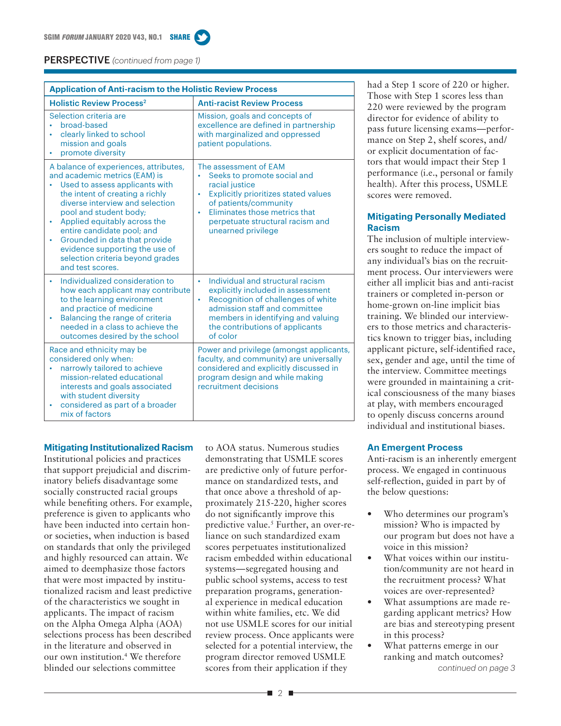

| <b>Application of Anti-racism to the Holistic Review Process</b>                                                                                                                                                                                                                                                                                                                                                    |                                                                                                                                                                                                                                                                           |
|---------------------------------------------------------------------------------------------------------------------------------------------------------------------------------------------------------------------------------------------------------------------------------------------------------------------------------------------------------------------------------------------------------------------|---------------------------------------------------------------------------------------------------------------------------------------------------------------------------------------------------------------------------------------------------------------------------|
| <b>Holistic Review Process<sup>2</sup></b>                                                                                                                                                                                                                                                                                                                                                                          | <b>Anti-racist Review Process</b>                                                                                                                                                                                                                                         |
| Selection criteria are<br>broad-based<br>$\bullet$<br>clearly linked to school<br>٠<br>mission and goals<br>promote diversity                                                                                                                                                                                                                                                                                       | Mission, goals and concepts of<br>excellence are defined in partnership<br>with marginalized and oppressed<br>patient populations.                                                                                                                                        |
| A balance of experiences, attributes,<br>and academic metrics (EAM) is<br>Used to assess applicants with<br>the intent of creating a richly<br>diverse interview and selection<br>pool and student body;<br>Applied equitably across the<br>٠<br>entire candidate pool; and<br>Grounded in data that provide<br>$\bullet$<br>evidence supporting the use of<br>selection criteria beyond grades<br>and test scores. | The assessment of EAM<br>Seeks to promote social and<br>ò.<br>racial justice<br><b>Explicitly prioritizes stated values</b><br>$\bullet$<br>of patients/community<br>Eliminates those metrics that<br>$\bullet$<br>perpetuate structural racism and<br>unearned privilege |
| Individualized consideration to<br>$\bullet$<br>how each applicant may contribute<br>to the learning environment<br>and practice of medicine<br>Balancing the range of criteria<br>$\bullet$<br>needed in a class to achieve the<br>outcomes desired by the school                                                                                                                                                  | Individual and structural racism<br>$\bullet$<br>explicitly included in assessment<br>Recognition of challenges of white<br>$\bullet$<br>admission staff and committee<br>members in identifying and valuing<br>the contributions of applicants<br>of color               |
| Race and ethnicity may be<br>considered only when:<br>narrowly tailored to achieve<br>mission-related educational<br>interests and goals associated<br>with student diversity<br>considered as part of a broader<br>mix of factors                                                                                                                                                                                  | Power and privilege (amongst applicants,<br>faculty, and community) are universally<br>considered and explicitly discussed in<br>program design and while making<br>recruitment decisions                                                                                 |

Institutional policies and practices that support prejudicial and discriminatory beliefs disadvantage some socially constructed racial groups while benefiting others. For example, preference is given to applicants who have been inducted into certain honor societies, when induction is based on standards that only the privileged and highly resourced can attain. We aimed to deemphasize those factors that were most impacted by institutionalized racism and least predictive of the characteristics we sought in applicants. The impact of racism on the Alpha Omega Alpha (AOA) selections process has been described in the literature and observed in our own institution.4 We therefore blinded our selections committee

**Mitigating Institutionalized Racism**

to AOA status. Numerous studies demonstrating that USMLE scores are predictive only of future performance on standardized tests, and that once above a threshold of approximately 215-220, higher scores do not significantly improve this predictive value.<sup>5</sup> Further, an over-reliance on such standardized exam scores perpetuates institutionalized racism embedded within educational systems—segregated housing and public school systems, access to test preparation programs, generational experience in medical education within white families, etc. We did not use USMLE scores for our initial review process. Once applicants were selected for a potential interview, the program director removed USMLE scores from their application if they

had a Step 1 score of 220 or higher. Those with Step 1 scores less than 220 were reviewed by the program director for evidence of ability to pass future licensing exams—performance on Step 2, shelf scores, and/ or explicit documentation of factors that would impact their Step 1 performance (i.e., personal or family health). After this process, USMLE scores were removed.

## **Mitigating Personally Mediated Racism**

The inclusion of multiple interviewers sought to reduce the impact of any individual's bias on the recruitment process. Our interviewers were either all implicit bias and anti-racist trainers or completed in-person or home-grown on-line implicit bias training. We blinded our interviewers to those metrics and characteristics known to trigger bias, including applicant picture, self-identified race, sex, gender and age, until the time of the interview. Committee meetings were grounded in maintaining a critical consciousness of the many biases at play, with members encouraged to openly discuss concerns around individual and institutional biases.

## **An Emergent Process**

Anti-racism is an inherently emergent process. We engaged in continuous self-reflection, guided in part by of the below questions:

- Who determines our program's mission? Who is impacted by our program but does not have a voice in this mission?
- What voices within our institution/community are not heard in the recruitment process? What voices are over-represented?
- What assumptions are made regarding applicant metrics? How are bias and stereotyping present in this process?
- What patterns emerge in our ranking and match outcomes? *continued on page 3*